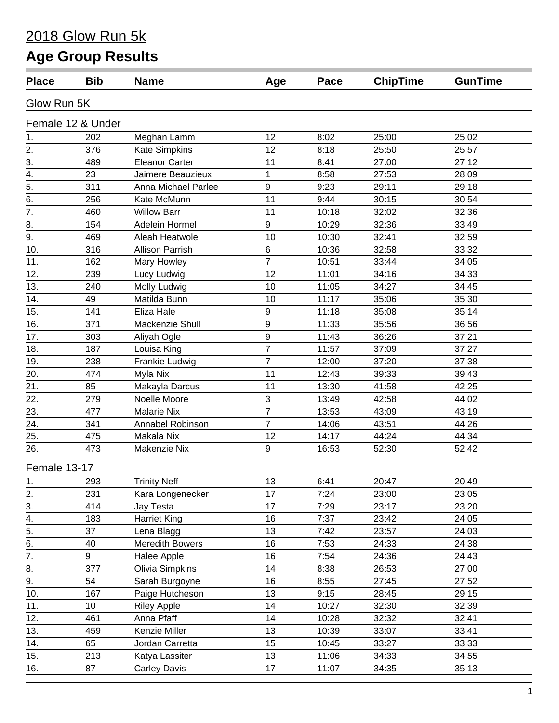#### 2018 Glow Run 5k

# **Age Group Results**

| <b>Place</b>     | <b>Bib</b>        | <b>Name</b>            | Age            | Pace  | <b>ChipTime</b> | <b>GunTime</b> |
|------------------|-------------------|------------------------|----------------|-------|-----------------|----------------|
| Glow Run 5K      |                   |                        |                |       |                 |                |
|                  | Female 12 & Under |                        |                |       |                 |                |
| 1.               | 202               | Meghan Lamm            | 12             | 8:02  | 25:00           | 25:02          |
| 2.               | 376               | <b>Kate Simpkins</b>   | 12             | 8:18  | 25:50           | 25:57          |
| 3.               | 489               | <b>Eleanor Carter</b>  | 11             | 8:41  | 27:00           | 27:12          |
| 4.               | 23                | Jaimere Beauzieux      | 1              | 8:58  | 27:53           | 28:09          |
| 5.               | 311               | Anna Michael Parlee    | 9              | 9:23  | 29:11           | 29:18          |
| 6.               | 256               | Kate McMunn            | 11             | 9:44  | 30:15           | 30:54          |
| $\overline{7}$ . | 460               | <b>Willow Barr</b>     | 11             | 10:18 | 32:02           | 32:36          |
| 8.               | 154               | Adelein Hormel         | 9              | 10:29 | 32:36           | 33:49          |
| 9.               | 469               | Aleah Heatwole         | 10             | 10:30 | 32:41           | 32:59          |
| 10.              | 316               | <b>Allison Parrish</b> | 6              | 10:36 | 32:58           | 33:32          |
| 11.              | 162               | Mary Howley            | $\overline{7}$ | 10:51 | 33:44           | 34:05          |
| 12.              | 239               | Lucy Ludwig            | 12             | 11:01 | 34:16           | 34:33          |
| 13.              | 240               | Molly Ludwig           | 10             | 11:05 | 34:27           | 34:45          |
| 14.              | 49                | Matilda Bunn           | 10             | 11:17 | 35:06           | 35:30          |
| 15.              | 141               | Eliza Hale             | 9              | 11:18 | 35:08           | 35:14          |
| 16.              | 371               | Mackenzie Shull        | 9              | 11:33 | 35:56           | 36:56          |
| 17.              | 303               | Aliyah Ogle            | 9              | 11:43 | 36:26           | 37:21          |
| 18.              | 187               | Louisa King            | $\overline{7}$ | 11:57 | 37:09           | 37:27          |
| 19.              | 238               | Frankie Ludwig         | $\overline{7}$ | 12:00 | 37:20           | 37:38          |
| 20.              | 474               | Myla Nix               | 11             | 12:43 | 39:33           | 39:43          |
| 21.              | 85                | Makayla Darcus         | 11             | 13:30 | 41:58           | 42:25          |
| 22.              | 279               | Noelle Moore           | 3              | 13:49 | 42:58           | 44:02          |
| 23.              | 477               | <b>Malarie Nix</b>     | $\overline{7}$ | 13:53 | 43:09           | 43:19          |
| 24.              | 341               | Annabel Robinson       | $\overline{7}$ | 14:06 | 43:51           | 44:26          |
| 25.              | 475               | Makala Nix             | 12             | 14:17 | 44:24           | 44:34          |
| 26.              | 473               | Makenzie Nix           | 9              | 16:53 | 52:30           | 52:42          |
| Female 13-17     |                   |                        |                |       |                 |                |
| 1.               | 293               | <b>Trinity Neff</b>    | 13             | 6:41  | 20:47           | 20:49          |
| 2.               | 231               | Kara Longenecker       | 17             | 7:24  | 23:00           | 23:05          |
| 3.               | 414               | Jay Testa              | 17             | 7:29  | 23:17           | 23:20          |
| 4.               | 183               | <b>Harriet King</b>    | 16             | 7:37  | 23:42           | 24:05          |
| $\overline{5}$ . | 37                | Lena Blagg             | 13             | 7:42  | 23:57           | 24:03          |
| 6.               | 40                | <b>Meredith Bowers</b> | 16             | 7:53  | 24:33           | 24:38          |
| $\overline{7}$ . | 9                 | Halee Apple            | 16             | 7:54  | 24:36           | 24:43          |
| 8.               | 377               | Olivia Simpkins        | 14             | 8:38  | 26:53           | 27:00          |
| 9.               | 54                | Sarah Burgoyne         | 16             | 8:55  | 27:45           | 27:52          |
| 10.              | 167               | Paige Hutcheson        | 13             | 9:15  | 28:45           | 29:15          |
| 11.              | 10                | <b>Riley Apple</b>     | 14             | 10:27 | 32:30           | 32:39          |
| 12.              | 461               | Anna Pfaff             | 14             | 10:28 | 32:32           | 32:41          |
| 13.              | 459               | Kenzie Miller          | 13             | 10:39 | 33:07           | 33:41          |
| 14.              | 65                | Jordan Carretta        | 15             | 10:45 | 33:27           | 33:33          |
| 15.              | 213               | Katya Lassiter         | 13             | 11:06 | 34:33           | 34:55          |
| 16.              | 87                | <b>Carley Davis</b>    | 17             | 11:07 | 34:35           | 35:13          |
|                  |                   |                        |                |       |                 |                |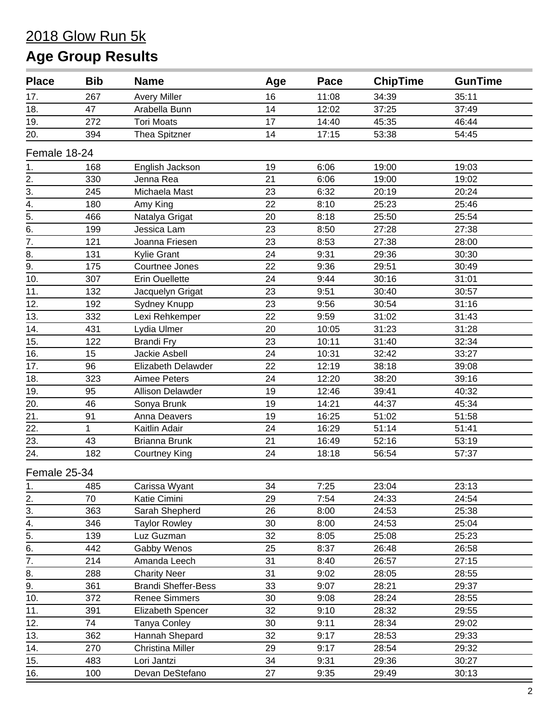| <b>Place</b>     | <b>Bib</b>   | <b>Name</b>                | Age | Pace  | <b>ChipTime</b> | <b>GunTime</b> |
|------------------|--------------|----------------------------|-----|-------|-----------------|----------------|
| 17.              | 267          | <b>Avery Miller</b>        | 16  | 11:08 | 34:39           | 35:11          |
| 18.              | 47           | Arabella Bunn              | 14  | 12:02 | 37:25           | 37:49          |
| 19.              | 272          | <b>Tori Moats</b>          | 17  | 14:40 | 45:35           | 46:44          |
| 20.              | 394          | Thea Spitzner              | 14  | 17:15 | 53:38           | 54:45          |
| Female 18-24     |              |                            |     |       |                 |                |
| 1.               | 168          | English Jackson            | 19  | 6:06  | 19:00           | 19:03          |
| 2.               | 330          | Jenna Rea                  | 21  | 6:06  | 19:00           | 19:02          |
| $\overline{3}$ . | 245          | Michaela Mast              | 23  | 6:32  | 20:19           | 20:24          |
| $\overline{4}$ . | 180          | Amy King                   | 22  | 8:10  | 25:23           | 25:46          |
|                  | 466          | Natalya Grigat             | 20  | 8:18  | 25:50           | 25:54          |
| $\frac{1}{5}$ .  | 199          | Jessica Lam                | 23  | 8:50  | 27:28           | 27:38          |
| $\overline{7}$ . | 121          | Joanna Friesen             | 23  | 8:53  | 27:38           | 28:00          |
| 8.               | 131          | <b>Kylie Grant</b>         | 24  | 9:31  | 29:36           | 30:30          |
| 9.               | 175          | Courtnee Jones             | 22  | 9:36  | 29:51           | 30:49          |
| 10.              | 307          | <b>Erin Ouellette</b>      | 24  | 9:44  | 30:16           | 31:01          |
| 11.              | 132          | Jacquelyn Grigat           | 23  | 9:51  | 30:40           | 30:57          |
| 12.              | 192          | Sydney Knupp               | 23  | 9:56  | 30:54           | 31:16          |
| 13.              | 332          | Lexi Rehkemper             | 22  | 9:59  | 31:02           | 31:43          |
| 14.              | 431          | Lydia Ulmer                | 20  | 10:05 | 31:23           | 31:28          |
| 15.              | 122          | <b>Brandi Fry</b>          | 23  | 10:11 | 31:40           | 32:34          |
| 16.              | 15           | Jackie Asbell              | 24  | 10:31 | 32:42           | 33:27          |
| 17.              | 96           | Elizabeth Delawder         | 22  | 12:19 | 38:18           | 39:08          |
| 18.              | 323          | <b>Aimee Peters</b>        | 24  | 12:20 | 38:20           | 39:16          |
| 19.              | 95           | <b>Allison Delawder</b>    | 19  | 12:46 | 39:41           | 40:32          |
| 20.              | 46           | Sonya Brunk                | 19  | 14:21 | 44:37           | 45:34          |
| 21.              | 91           | Anna Deavers               | 19  | 16:25 | 51:02           | 51:58          |
| 22.              | $\mathbf{1}$ | Kaitlin Adair              | 24  | 16:29 | 51:14           | 51:41          |
| 23.              | 43           | Brianna Brunk              | 21  | 16:49 | 52:16           | 53:19          |
| 24.              | 182          | <b>Courtney King</b>       | 24  | 18:18 | 56:54           | 57:37          |
| Female 25-34     |              |                            |     |       |                 |                |
| 1.               | 485          | Carissa Wyant              | 34  | 7:25  | 23:04           | 23:13          |
| $\overline{2}$ . | 70           | Katie Cimini               | 29  | 7:54  | 24:33           | 24:54          |
| 3.               | 363          | Sarah Shepherd             | 26  | 8:00  | 24:53           | 25:38          |
| 4.               | 346          | <b>Taylor Rowley</b>       | 30  | 8:00  | 24:53           | 25:04          |
| $\overline{5}$ . | 139          | Luz Guzman                 | 32  | 8:05  | 25:08           | 25:23          |
| 6.               | 442          | Gabby Wenos                | 25  | 8:37  | 26:48           | 26:58          |
| $\overline{7}$ . | 214          | Amanda Leech               | 31  | 8:40  | 26:57           | 27:15          |
| 8.               | 288          | <b>Charity Neer</b>        | 31  | 9:02  | 28:05           | 28:55          |
| 9.               | 361          | <b>Brandi Sheffer-Bess</b> | 33  | 9:07  | 28:21           | 29:37          |
| 10.              | 372          | <b>Renee Simmers</b>       | 30  | 9:08  | 28:24           | 28:55          |
| 11.              | 391          | <b>Elizabeth Spencer</b>   | 32  | 9:10  | 28:32           | 29:55          |
| 12.              | 74           | Tanya Conley               | 30  | 9:11  | 28:34           | 29:02          |
| 13.              | 362          | Hannah Shepard             | 32  | 9:17  | 28:53           | 29:33          |
| 14.              | 270          | <b>Christina Miller</b>    | 29  | 9:17  | 28:54           | 29:32          |
| 15.              | 483          | Lori Jantzi                | 34  | 9:31  | 29:36           | 30:27          |
| 16.              | 100          | Devan DeStefano            | 27  | 9:35  | 29:49           | 30:13          |
|                  |              |                            |     |       |                 |                |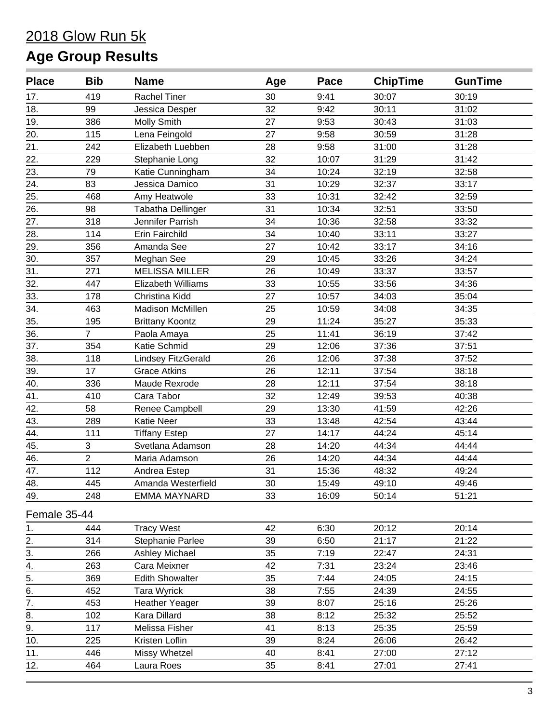| <b>Place</b>      | <b>Bib</b>     | <b>Name</b>               | Age | Pace  | <b>ChipTime</b> | <b>GunTime</b> |
|-------------------|----------------|---------------------------|-----|-------|-----------------|----------------|
| 17.               | 419            | <b>Rachel Tiner</b>       | 30  | 9:41  | 30:07           | 30:19          |
| 18.               | 99             | Jessica Desper            | 32  | 9:42  | 30:11           | 31:02          |
| 19.               | 386            | Molly Smith               | 27  | 9:53  | 30:43           | 31:03          |
| 20.               | 115            | Lena Feingold             | 27  | 9:58  | 30:59           | 31:28          |
| 21.               | 242            | Elizabeth Luebben         | 28  | 9:58  | 31:00           | 31:28          |
| 22.               | 229            | Stephanie Long            | 32  | 10:07 | 31:29           | 31:42          |
| 23.               | 79             | Katie Cunningham          | 34  | 10:24 | 32:19           | 32:58          |
| 24.               | 83             | Jessica Damico            | 31  | 10:29 | 32:37           | 33:17          |
| 25.               | 468            | Amy Heatwole              | 33  | 10:31 | 32:42           | 32:59          |
| 26.               | 98             | Tabatha Dellinger         | 31  | 10:34 | 32:51           | 33:50          |
| 27.               | 318            | Jennifer Parrish          | 34  | 10:36 | 32:58           | 33:32          |
| 28.               | 114            | Erin Fairchild            | 34  | 10:40 | 33:11           | 33:27          |
| 29.               | 356            | Amanda See                | 27  | 10:42 | 33:17           | 34:16          |
| 30.               | 357            | Meghan See                | 29  | 10:45 | 33:26           | 34:24          |
| $\overline{31}$ . | 271            | <b>MELISSA MILLER</b>     | 26  | 10:49 | 33:37           | 33:57          |
| 32.               | 447            | Elizabeth Williams        | 33  | 10:55 | 33:56           | 34:36          |
| 33.               | 178            | Christina Kidd            | 27  | 10:57 | 34:03           | 35:04          |
| 34.               | 463            | Madison McMillen          | 25  | 10:59 | 34:08           | 34:35          |
| 35.               | 195            | <b>Brittany Koontz</b>    | 29  | 11:24 | 35:27           | 35:33          |
| 36.               | 7              | Paola Amaya               | 25  | 11:41 | 36:19           | 37:42          |
| 37.               | 354            | Katie Schmid              | 29  | 12:06 | 37:36           | 37:51          |
| 38.               | 118            | <b>Lindsey FitzGerald</b> | 26  | 12:06 | 37:38           | 37:52          |
| 39.               | 17             | <b>Grace Atkins</b>       | 26  | 12:11 | 37:54           | 38:18          |
| 40.               | 336            | Maude Rexrode             | 28  | 12:11 | 37:54           | 38:18          |
| 41.               | 410            | Cara Tabor                | 32  | 12:49 | 39:53           | 40:38          |
| 42.               | 58             | Renee Campbell            | 29  | 13:30 | 41:59           | 42:26          |
| 43.               | 289            | <b>Katie Neer</b>         | 33  | 13:48 | 42:54           | 43:44          |
| 44.               | 111            | <b>Tiffany Estep</b>      | 27  | 14:17 | 44:24           | 45:14          |
| 45.               | 3              | Svetlana Adamson          | 28  | 14:20 | 44:34           | 44:44          |
| 46.               | $\overline{2}$ | Maria Adamson             | 26  | 14:20 | 44:34           | 44:44          |
| 47.               | 112            | Andrea Estep              | 31  | 15:36 | 48:32           | 49:24          |
| 48.               | 445            | Amanda Westerfield        | 30  | 15:49 | 49:10           | 49:46          |
| 49.               | 248            | <b>EMMA MAYNARD</b>       | 33  | 16:09 | 50:14           | 51:21          |
| Female 35-44      |                |                           |     |       |                 |                |
| 1.                | 444            | <b>Tracy West</b>         | 42  | 6:30  | 20:12           | 20:14          |
| 2.                | 314            | Stephanie Parlee          | 39  | 6:50  | 21:17           | 21:22          |
| 3.                | 266            | Ashley Michael            | 35  | 7:19  | 22:47           | 24:31          |
| 4.                | 263            | Cara Meixner              | 42  | 7:31  | 23:24           | 23:46          |
| $\overline{5}$ .  | 369            | <b>Edith Showalter</b>    | 35  | 7:44  | 24:05           | 24:15          |
| 6.                | 452            | Tara Wyrick               | 38  | 7:55  | 24:39           | 24:55          |
| 7.                | 453            | <b>Heather Yeager</b>     | 39  | 8:07  | 25:16           | 25:26          |
| 8.                | 102            | Kara Dillard              | 38  | 8:12  | 25:32           | 25:52          |
| 9.                | 117            | Melissa Fisher            | 41  | 8:13  | 25:35           | 25:59          |
| 10.               | 225            | Kristen Loflin            | 39  | 8:24  | 26:06           | 26:42          |
| 11.               | 446            | Missy Whetzel             | 40  | 8:41  | 27:00           | 27:12          |
| 12.               | 464            | Laura Roes                | 35  | 8:41  | 27:01           | 27:41          |
|                   |                |                           |     |       |                 |                |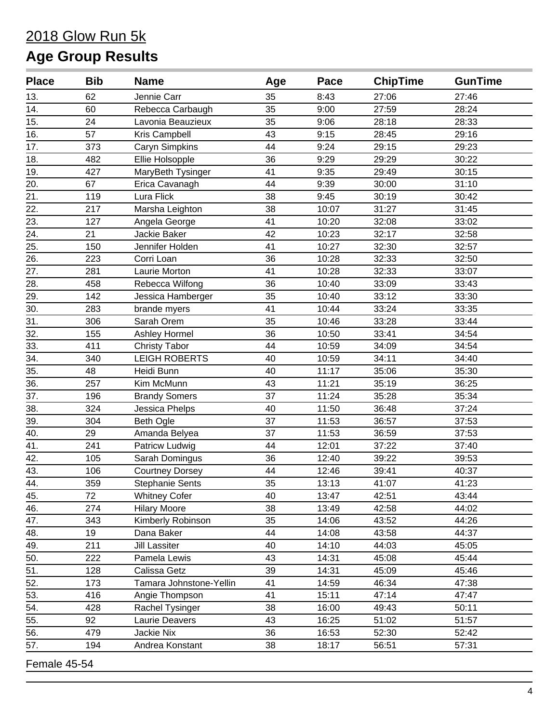| <b>Place</b>       | <b>Bib</b> | <b>Name</b>             | Age | Pace  | <b>ChipTime</b> | <b>GunTime</b> |
|--------------------|------------|-------------------------|-----|-------|-----------------|----------------|
| 13.                | 62         | Jennie Carr             | 35  | 8:43  | 27:06           | 27:46          |
| 14.                | 60         | Rebecca Carbaugh        | 35  | 9:00  | 27:59           | 28:24          |
| 15.                | 24         | Lavonia Beauzieux       | 35  | 9:06  | 28:18           | 28:33          |
| 16.                | 57         | Kris Campbell           | 43  | 9:15  | 28:45           | 29:16          |
| 17.                | 373        | Caryn Simpkins          | 44  | 9:24  | 29:15           | 29:23          |
| 18.                | 482        | Ellie Holsopple         | 36  | 9:29  | 29:29           | 30:22          |
| 19.                | 427        | MaryBeth Tysinger       | 41  | 9:35  | 29:49           | 30:15          |
| 20.                | 67         | Erica Cavanagh          | 44  | 9:39  | 30:00           | 31:10          |
| 21.                | 119        | Lura Flick              | 38  | 9:45  | 30:19           | 30:42          |
| 22.                | 217        | Marsha Leighton         | 38  | 10:07 | 31:27           | 31:45          |
| 23.                | 127        | Angela George           | 41  | 10:20 | 32:08           | 33:02          |
| 24.                | 21         | Jackie Baker            | 42  | 10:23 | 32:17           | 32:58          |
| 25.                | 150        | Jennifer Holden         | 41  | 10:27 | 32:30           | 32:57          |
| 26.                | 223        | Corri Loan              | 36  | 10:28 | 32:33           | 32:50          |
| 27.                | 281        | Laurie Morton           | 41  | 10:28 | 32:33           | 33:07          |
| 28.                | 458        | Rebecca Wilfong         | 36  | 10:40 | 33:09           | 33:43          |
| 29.                | 142        | Jessica Hamberger       | 35  | 10:40 | 33:12           | 33:30          |
| 30.                | 283        | brande myers            | 41  | 10:44 | 33:24           | 33:35          |
| 31.                | 306        | Sarah Orem              | 35  | 10:46 | 33:28           | 33:44          |
| 32.                | 155        | Ashley Hormel           | 36  | 10:50 | 33:41           | 34:54          |
| 33.                | 411        | <b>Christy Tabor</b>    | 44  | 10:59 | 34:09           | 34:54          |
| 34.                | 340        | <b>LEIGH ROBERTS</b>    | 40  | 10:59 | 34:11           | 34:40          |
| 35.                | 48         | Heidi Bunn              | 40  | 11:17 | 35:06           | 35:30          |
| 36.                | 257        | Kim McMunn              | 43  | 11:21 | 35:19           | 36:25          |
| 37.                | 196        | <b>Brandy Somers</b>    | 37  | 11:24 | 35:28           | 35:34          |
| 38.                | 324        | Jessica Phelps          | 40  | 11:50 | 36:48           | 37:24          |
| 39.                | 304        | <b>Beth Ogle</b>        | 37  | 11:53 | 36:57           | 37:53          |
| 40.                | 29         | Amanda Belyea           | 37  | 11:53 | 36:59           | 37:53          |
| 41.                | 241        | Patricw Ludwig          | 44  | 12:01 | 37:22           | 37:40          |
| 42.                | 105        | Sarah Domingus          | 36  | 12:40 | 39:22           | 39:53          |
| 43.                | 106        | <b>Courtney Dorsey</b>  | 44  | 12:46 | 39:41           | 40:37          |
| $\underline{44}$ . | 359        | <b>Stephanie Sents</b>  | 35  | 13:13 | 41:07           | 41:23          |
| 45.                | 72         | <b>Whitney Cofer</b>    | 40  | 13:47 | 42:51           | 43:44          |
| 46.                | 274        | <b>Hilary Moore</b>     | 38  | 13:49 | 42:58           | 44:02          |
| 47.                | 343        | Kimberly Robinson       | 35  | 14:06 | 43:52           | 44:26          |
| 48.                | 19         | Dana Baker              | 44  | 14:08 | 43:58           | 44:37          |
| 49.                | 211        | <b>Jill Lassiter</b>    | 40  | 14:10 | 44:03           | 45:05          |
| 50.                | 222        | Pamela Lewis            | 43  | 14:31 | 45:08           | 45:44          |
| 51.                | 128        | Calissa Getz            | 39  | 14:31 | 45:09           | 45:46          |
| 52.                | 173        | Tamara Johnstone-Yellin | 41  | 14:59 | 46:34           | 47:38          |
| 53.                | 416        | Angie Thompson          | 41  | 15:11 | 47:14           | 47:47          |
| 54.                | 428        | Rachel Tysinger         | 38  | 16:00 | 49:43           | 50:11          |
| 55.                | 92         | Laurie Deavers          | 43  | 16:25 | 51:02           | 51:57          |
| 56.                | 479        | Jackie Nix              | 36  | 16:53 | 52:30           | 52:42          |
| 57.                | 194        | Andrea Konstant         | 38  | 18:17 | 56:51           | 57:31          |
|                    |            |                         |     |       |                 |                |

Female 45-54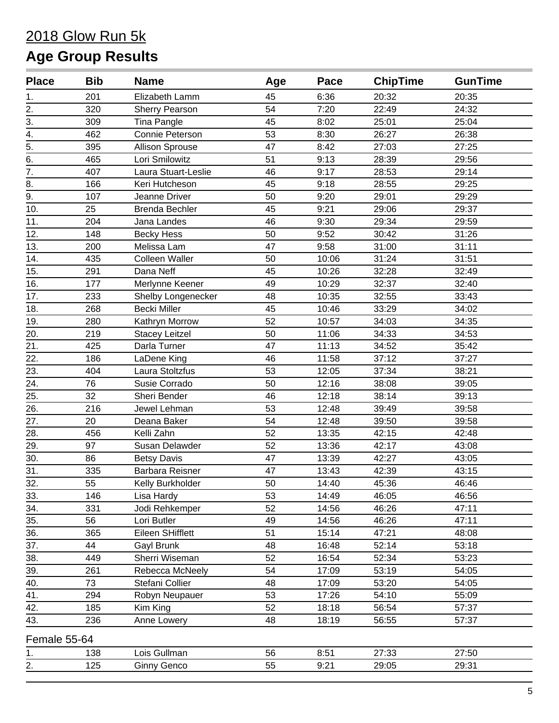| <b>Place</b>     | <b>Bib</b> | <b>Name</b>            | Age | Pace  | <b>ChipTime</b> | <b>GunTime</b> |
|------------------|------------|------------------------|-----|-------|-----------------|----------------|
| 1.               | 201        | Elizabeth Lamm         | 45  | 6:36  | 20:32           | 20:35          |
| 2.               | 320        | <b>Sherry Pearson</b>  | 54  | 7:20  | 22:49           | 24:32          |
| 3.               | 309        | <b>Tina Pangle</b>     | 45  | 8:02  | 25:01           | 25:04          |
| 4.               | 462        | Connie Peterson        | 53  | 8:30  | 26:27           | 26:38          |
| $\frac{1}{5}$ .  | 395        | <b>Allison Sprouse</b> | 47  | 8:42  | 27:03           | 27:25          |
|                  | 465        | Lori Smilowitz         | 51  | 9:13  | 28:39           | 29:56          |
| $\overline{7}$ . | 407        | Laura Stuart-Leslie    | 46  | 9:17  | 28:53           | 29:14          |
| 8.               | 166        | Keri Hutcheson         | 45  | 9:18  | 28:55           | 29:25          |
| 9.               | 107        | Jeanne Driver          | 50  | 9:20  | 29:01           | 29:29          |
| 10.              | 25         | <b>Brenda Bechler</b>  | 45  | 9:21  | 29:06           | 29:37          |
| 11.              | 204        | Jana Landes            | 46  | 9:30  | 29:34           | 29:59          |
| 12.              | 148        | <b>Becky Hess</b>      | 50  | 9:52  | 30:42           | 31:26          |
| 13.              | 200        | Melissa Lam            | 47  | 9:58  | 31:00           | 31:11          |
| 14.              | 435        | <b>Colleen Waller</b>  | 50  | 10:06 | 31:24           | 31:51          |
| 15.              | 291        | Dana Neff              | 45  | 10:26 | 32:28           | 32:49          |
| 16.              | 177        | Merlynne Keener        | 49  | 10:29 | 32:37           | 32:40          |
| 17.              | 233        | Shelby Longenecker     | 48  | 10:35 | 32:55           | 33:43          |
| 18.              | 268        | <b>Becki Miller</b>    | 45  | 10:46 | 33:29           | 34:02          |
| 19.              | 280        | Kathryn Morrow         | 52  | 10:57 | 34:03           | 34:35          |
| 20.              | 219        | <b>Stacey Leitzel</b>  | 50  | 11:06 | 34:33           | 34:53          |
| 21.              | 425        | Darla Turner           | 47  | 11:13 | 34:52           | 35:42          |
| 22.              | 186        | LaDene King            | 46  | 11:58 | 37:12           | 37:27          |
| 23.              | 404        | Laura Stoltzfus        | 53  | 12:05 | 37:34           | 38:21          |
| 24.              | 76         | Susie Corrado          | 50  | 12:16 | 38:08           | 39:05          |
| 25.              | 32         | Sheri Bender           | 46  | 12:18 | 38:14           | 39:13          |
| 26.              | 216        | Jewel Lehman           | 53  | 12:48 | 39:49           | 39:58          |
| 27.              | 20         | Deana Baker            | 54  | 12:48 | 39:50           | 39:58          |
| 28.              | 456        | Kelli Zahn             | 52  | 13:35 | 42:15           | 42:48          |
| 29.              | 97         | Susan Delawder         | 52  | 13:36 | 42:17           | 43:08          |
| 30.              | 86         | <b>Betsy Davis</b>     | 47  | 13:39 | 42:27           | 43:05          |
| 31.              | 335        | Barbara Reisner        | 47  | 13:43 | 42:39           | 43:15          |
| 32.              | 55         | Kelly Burkholder       | 50  | 14:40 | 45:36           | 46:46          |
| 33.              | 146        | Lisa Hardy             | 53  | 14:49 | 46:05           | 46:56          |
| 34.              | 331        | Jodi Rehkemper         | 52  | 14:56 | 46:26           | 47:11          |
| 35.              | 56         | Lori Butler            | 49  | 14:56 | 46:26           | 47:11          |
| 36.              | 365        | Eileen SHifflett       | 51  | 15:14 | 47:21           | 48:08          |
| 37.              | 44         | Gayl Brunk             | 48  | 16:48 | 52:14           | 53:18          |
| 38.              | 449        | Sherri Wiseman         | 52  | 16:54 | 52:34           | 53:23          |
| 39.              | 261        | Rebecca McNeely        | 54  | 17:09 | 53:19           | 54:05          |
| 40.              | 73         | Stefani Collier        | 48  | 17:09 | 53:20           | 54:05          |
| 41.              | 294        | Robyn Neupauer         | 53  | 17:26 | 54:10           | 55:09          |
| 42.              | 185        | Kim King               | 52  | 18:18 | 56:54           | 57:37          |
| 43.              | 236        | Anne Lowery            | 48  | 18:19 | 56:55           | 57:37          |
| Female 55-64     |            |                        |     |       |                 |                |
| 1.               | 138        | Lois Gullman           | 56  | 8:51  | 27:33           | 27:50          |
| 2.               | 125        | <b>Ginny Genco</b>     | 55  | 9:21  | 29:05           | 29:31          |
|                  |            |                        |     |       |                 |                |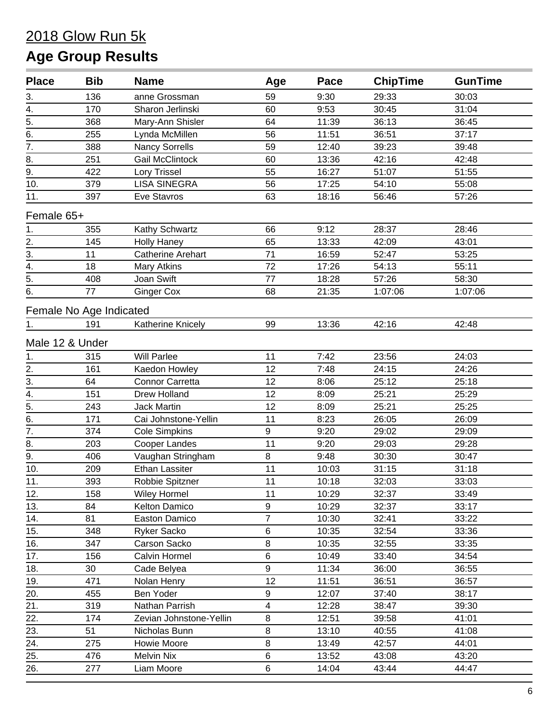# 2018 Glow Run 5k

# **Age Group Results**

| <b>Place</b>     | <b>Bib</b>              | <b>Name</b>              | Age            | Pace  | <b>ChipTime</b> | <b>GunTime</b> |
|------------------|-------------------------|--------------------------|----------------|-------|-----------------|----------------|
| 3.               | 136                     | anne Grossman            | 59             | 9:30  | 29:33           | 30:03          |
| $\overline{4}$ . | 170                     | Sharon Jerlinski         | 60             | 9:53  | 30:45           | 31:04          |
| 5.               | 368                     | Mary-Ann Shisler         | 64             | 11:39 | 36:13           | 36:45          |
| 6.               | 255                     | Lynda McMillen           | 56             | 11:51 | 36:51           | 37:17          |
| $\overline{7}$ . | 388                     | <b>Nancy Sorrells</b>    | 59             | 12:40 | 39:23           | 39:48          |
| 8.               | 251                     | <b>Gail McClintock</b>   | 60             | 13:36 | 42:16           | 42:48          |
| 9.               | 422                     | Lory Trissel             | 55             | 16:27 | 51:07           | 51:55          |
| 10.              | 379                     | <b>LISA SINEGRA</b>      | 56             | 17:25 | 54:10           | 55:08          |
| 11.              | 397                     | Eve Stavros              | 63             | 18:16 | 56:46           | 57:26          |
| Female 65+       |                         |                          |                |       |                 |                |
| 1.               | 355                     | Kathy Schwartz           | 66             | 9:12  | 28:37           | 28:46          |
| 2.               | 145                     | <b>Holly Haney</b>       | 65             | 13:33 | 42:09           | 43:01          |
| 3.               | 11                      | <b>Catherine Arehart</b> | 71             | 16:59 | 52:47           | 53:25          |
| $\overline{4}$ . | 18                      | <b>Mary Atkins</b>       | 72             | 17:26 | 54:13           | 55:11          |
| $\overline{5}$ . | 408                     | Joan Swift               | 77             | 18:28 | 57:26           | 58:30          |
| 6.               | 77                      | <b>Ginger Cox</b>        | 68             | 21:35 | 1:07:06         | 1:07:06        |
|                  | Female No Age Indicated |                          |                |       |                 |                |
| 1.               | 191                     | Katherine Knicely        | 99             | 13:36 | 42:16           | 42:48          |
| Male 12 & Under  |                         |                          |                |       |                 |                |
| 1.               | 315                     | <b>Will Parlee</b>       | 11             | 7:42  | 23:56           | 24:03          |
| 2.               | 161                     | Kaedon Howley            | 12             | 7:48  | 24:15           | 24:26          |
| $\overline{3}$ . | 64                      | <b>Connor Carretta</b>   | 12             | 8:06  | 25:12           | 25:18          |
| $\overline{4}$ . | 151                     | Drew Holland             | 12             | 8:09  | 25:21           | 25:29          |
| $\overline{5}$ . | 243                     | <b>Jack Martin</b>       | 12             | 8:09  | 25:21           | 25:25          |
| 6.               | 171                     | Cai Johnstone-Yellin     | 11             | 8:23  | 26:05           | 26:09          |
| $\overline{7}$ . | 374                     | <b>Cole Simpkins</b>     | 9              | 9:20  | 29:02           | 29:09          |
| 8.               | 203                     | Cooper Landes            | 11             | 9:20  | 29:03           | 29:28          |
| 9.               | 406                     | Vaughan Stringham        | 8              | 9:48  | 30:30           | 30:47          |
| 10.              | 209                     | <b>Ethan Lassiter</b>    | 11             | 10:03 | 31:15           | 31:18          |
| 11.              | 393                     | Robbie Spitzner          | 11             | 10:18 | 32:03           | 33:03          |
| 12.              | 158                     | <b>Wiley Hormel</b>      | 11             | 10:29 | 32:37           | 33:49          |
| 13.              | 84                      | Kelton Damico            | 9              | 10:29 | 32:37           | 33:17          |
| 14.              | 81                      | Easton Damico            | $\overline{7}$ | 10:30 | 32:41           | 33:22          |
| 15.              | 348                     | Ryker Sacko              | 6              | 10:35 | 32:54           | 33:36          |
| 16.              | 347                     | Carson Sacko             | 8              | 10:35 | 32:55           | 33:35          |
| 17.              | 156                     | Calvin Hormel            | 6              | 10:49 | 33:40           | 34:54          |
| 18.              | 30                      | Cade Belyea              | 9              | 11:34 | 36:00           | 36:55          |
| 19.              | 471                     | Nolan Henry              | 12             | 11:51 | 36:51           | 36:57          |
| 20.              | 455                     | Ben Yoder                | 9              | 12:07 | 37:40           | 38:17          |
| 21.              | 319                     | Nathan Parrish           | $\overline{4}$ | 12:28 | 38:47           | 39:30          |
| 22.              | 174                     | Zevian Johnstone-Yellin  | $\bf 8$        | 12:51 | 39:58           | 41:01          |
| 23.              | 51                      | Nicholas Bunn            | 8              | 13:10 | 40:55           | 41:08          |
| 24.              | 275                     | Howie Moore              | 8              | 13:49 | 42:57           | 44:01          |
| 25.              | 476                     | <b>Melvin Nix</b>        | 6              | 13:52 | 43:08           | 43:20          |
| 26.              | 277                     | Liam Moore               | 6              | 14:04 | 43:44           | 44:47          |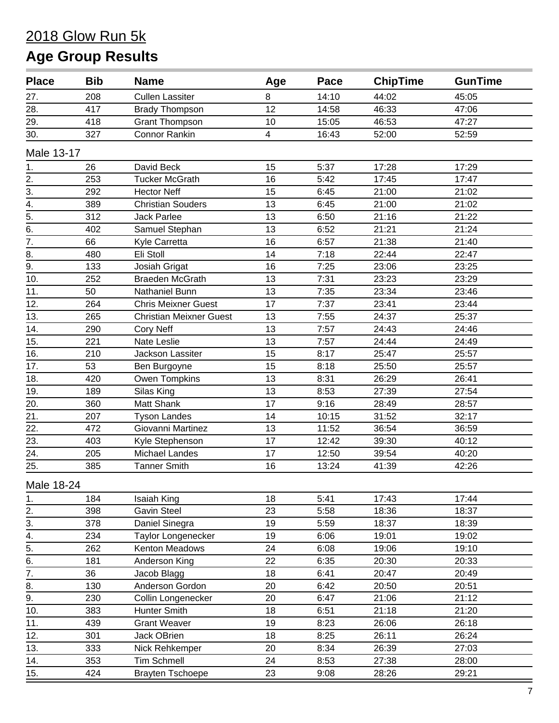| <b>Place</b>     | <b>Bib</b> | <b>Name</b>                    | Age | Pace  | <b>ChipTime</b> | <b>GunTime</b> |
|------------------|------------|--------------------------------|-----|-------|-----------------|----------------|
| 27.              | 208        | <b>Cullen Lassiter</b>         | 8   | 14:10 | 44:02           | 45:05          |
| 28.              | 417        | <b>Brady Thompson</b>          | 12  | 14:58 | 46:33           | 47:06          |
| 29.              | 418        | <b>Grant Thompson</b>          | 10  | 15:05 | 46:53           | 47:27          |
| 30.              | 327        | <b>Connor Rankin</b>           | 4   | 16:43 | 52:00           | 52:59          |
| Male 13-17       |            |                                |     |       |                 |                |
| 1.               | 26         | David Beck                     | 15  | 5:37  | 17:28           | 17:29          |
| 2.               | 253        | <b>Tucker McGrath</b>          | 16  | 5:42  | 17:45           | 17:47          |
| 3.               | 292        | <b>Hector Neff</b>             | 15  | 6:45  | 21:00           | 21:02          |
| $\overline{4}$ . | 389        | <b>Christian Souders</b>       | 13  | 6:45  | 21:00           | 21:02          |
| $\frac{1}{5}$    | 312        | <b>Jack Parlee</b>             | 13  | 6:50  | 21:16           | 21:22          |
|                  | 402        | Samuel Stephan                 | 13  | 6:52  | 21:21           | 21:24          |
| $\overline{7}$ . | 66         | Kyle Carretta                  | 16  | 6:57  | 21:38           | 21:40          |
| 8.               | 480        | Eli Stoll                      | 14  | 7:18  | 22:44           | 22:47          |
| 9.               | 133        | Josiah Grigat                  | 16  | 7:25  | 23:06           | 23:25          |
| 10.              | 252        | <b>Braeden McGrath</b>         | 13  | 7:31  | 23:23           | 23:29          |
| 11.              | 50         | Nathaniel Bunn                 | 13  | 7:35  | 23:34           | 23:46          |
| 12.              | 264        | <b>Chris Meixner Guest</b>     | 17  | 7:37  | 23:41           | 23:44          |
| 13.              | 265        | <b>Christian Meixner Guest</b> | 13  | 7:55  | 24:37           | 25:37          |
| 14.              | 290        | <b>Cory Neff</b>               | 13  | 7:57  | 24:43           | 24:46          |
| 15.              | 221        | Nate Leslie                    | 13  | 7:57  | 24:44           | 24:49          |
| 16.              | 210        | Jackson Lassiter               | 15  | 8:17  | 25:47           | 25:57          |
| 17.              | 53         | Ben Burgoyne                   | 15  | 8:18  | 25:50           | 25:57          |
| 18.              | 420        | Owen Tompkins                  | 13  | 8:31  | 26:29           | 26:41          |
| 19.              | 189        | Silas King                     | 13  | 8:53  | 27:39           | 27:54          |
| 20.              | 360        | Matt Shank                     | 17  | 9:16  | 28:49           | 28:57          |
| 21.              | 207        | <b>Tyson Landes</b>            | 14  | 10:15 | 31:52           | 32:17          |
| 22.              | 472        | Giovanni Martinez              | 13  | 11:52 | 36:54           | 36:59          |
| 23.              | 403        | Kyle Stephenson                | 17  | 12:42 | 39:30           | 40:12          |
| 24.              | 205        | Michael Landes                 | 17  | 12:50 | 39:54           | 40:20          |
| 25.              | 385        | <b>Tanner Smith</b>            | 16  | 13:24 | 41:39           | 42:26          |
| Male 18-24       |            |                                |     |       |                 |                |
| 1.               | 184        | Isaiah King                    | 18  | 5:41  | 17:43           | 17:44          |
|                  | 398        | <b>Gavin Steel</b>             | 23  | 5:58  | 18:36           | 18:37          |
| $\frac{2}{3}$    | 378        | Daniel Sinegra                 | 19  | 5:59  | 18:37           | 18:39          |
| $\overline{4}$ . | 234        | <b>Taylor Longenecker</b>      | 19  | 6:06  | 19:01           | 19:02          |
| $\overline{5}$ . | 262        | Kenton Meadows                 | 24  | 6:08  | 19:06           | 19:10          |
| 6.               | 181        | Anderson King                  | 22  | 6:35  | 20:30           | 20:33          |
| $\overline{7}$ . | 36         | Jacob Blagg                    | 18  | 6:41  | 20:47           | 20:49          |
| 8.               | 130        | Anderson Gordon                | 20  | 6:42  | 20:50           | 20:51          |
| 9.               | 230        | Collin Longenecker             | 20  | 6:47  | 21:06           | 21:12          |
| 10.              | 383        | Hunter Smith                   | 18  | 6:51  | 21:18           | 21:20          |
| 11.              | 439        | <b>Grant Weaver</b>            | 19  | 8:23  | 26:06           | 26:18          |
| 12.              | 301        | Jack OBrien                    | 18  | 8:25  | 26:11           | 26:24          |
| 13.              | 333        | Nick Rehkemper                 | 20  | 8:34  | 26:39           | 27:03          |
| 14.              | 353        | <b>Tim Schmell</b>             | 24  | 8:53  | 27:38           | 28:00          |
| 15.              | 424        |                                | 23  | 9:08  | 28:26           | 29:21          |
|                  |            | <b>Brayten Tschoepe</b>        |     |       |                 |                |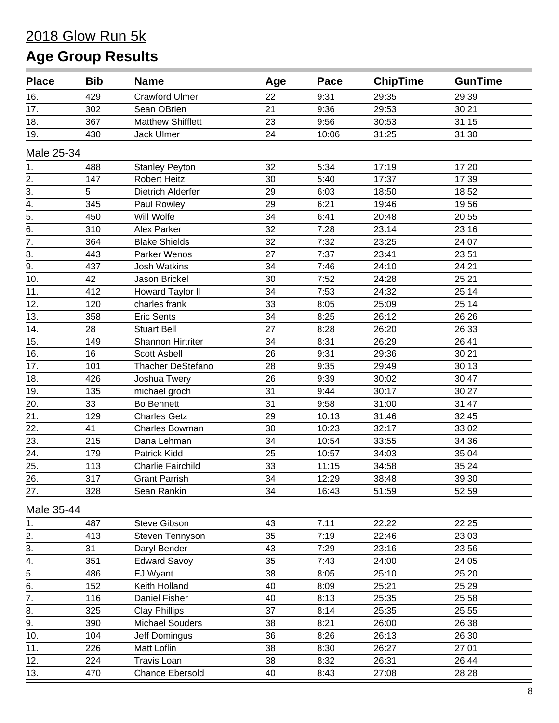| <b>Place</b>          | <b>Bib</b> | <b>Name</b>              | Age | Pace  | <b>ChipTime</b> | <b>GunTime</b> |
|-----------------------|------------|--------------------------|-----|-------|-----------------|----------------|
| 16.                   | 429        | <b>Crawford Ulmer</b>    | 22  | 9:31  | 29:35           | 29:39          |
| 17.                   | 302        | Sean OBrien              | 21  | 9:36  | 29:53           | 30:21          |
| 18.                   | 367        | <b>Matthew Shifflett</b> | 23  | 9:56  | 30:53           | 31:15          |
| 19.                   | 430        | <b>Jack Ulmer</b>        | 24  | 10:06 | 31:25           | 31:30          |
| Male 25-34            |            |                          |     |       |                 |                |
| 1.                    | 488        | <b>Stanley Peyton</b>    | 32  | 5:34  | 17:19           | 17:20          |
| 2.                    | 147        | <b>Robert Heitz</b>      | 30  | 5:40  | 17:37           | 17:39          |
| 3.                    | 5          | Dietrich Alderfer        | 29  | 6:03  | 18:50           | 18:52          |
| $\overline{4}$ .      | 345        | Paul Rowley              | 29  | 6:21  | 19:46           | 19:56          |
| 5.                    | 450        | Will Wolfe               | 34  | 6:41  | 20:48           | 20:55          |
| 6.                    | 310        | Alex Parker              | 32  | 7:28  | 23:14           | 23:16          |
| 7.                    | 364        | <b>Blake Shields</b>     | 32  | 7:32  | 23:25           | 24:07          |
| 8.                    | 443        | Parker Wenos             | 27  | 7:37  | 23:41           | 23:51          |
| $\overline{9}$ .      | 437        | <b>Josh Watkins</b>      | 34  | 7:46  | 24:10           | 24:21          |
| 10.                   | 42         | Jason Brickel            | 30  | 7:52  | 24:28           | 25:21          |
| 11.                   | 412        | Howard Taylor II         | 34  | 7:53  | 24:32           | 25:14          |
| 12.                   | 120        | charles frank            | 33  | 8:05  | 25:09           | 25:14          |
| 13.                   | 358        | <b>Eric Sents</b>        | 34  | 8:25  | 26:12           | 26:26          |
| 14.                   | 28         | <b>Stuart Bell</b>       | 27  | 8:28  | 26:20           | 26:33          |
| 15.                   | 149        | Shannon Hirtriter        | 34  | 8:31  | 26:29           | 26:41          |
| 16.                   | 16         | <b>Scott Asbell</b>      | 26  | 9:31  | 29:36           | 30:21          |
| 17.                   | 101        | <b>Thacher DeStefano</b> | 28  | 9:35  | 29:49           | 30:13          |
| 18.                   | 426        | Joshua Twery             | 26  | 9:39  | 30:02           | 30:47          |
| 19.                   | 135        | michael groch            | 31  | 9:44  | 30:17           | 30:27          |
| 20.                   | 33         | <b>Bo Bennett</b>        | 31  | 9:58  | 31:00           | 31:47          |
| 21.                   | 129        | <b>Charles Getz</b>      | 29  | 10:13 | 31:46           | 32:45          |
| 22.                   | 41         | Charles Bowman           | 30  | 10:23 | 32:17           | 33:02          |
| 23.                   | 215        | Dana Lehman              | 34  | 10:54 | 33:55           | 34:36          |
| 24.                   | 179        | Patrick Kidd             | 25  | 10:57 | 34:03           | 35:04          |
| 25.                   | 113        | <b>Charlie Fairchild</b> | 33  | 11:15 | 34:58           | 35:24          |
| 26.                   | 317        | <b>Grant Parrish</b>     | 34  | 12:29 | 38:48           | 39:30          |
| 27.                   | 328        | Sean Rankin              | 34  | 16:43 | 51:59           | 52:59          |
| Male 35-44            |            |                          |     |       |                 |                |
| 1.                    | 487        | Steve Gibson             | 43  | 7:11  | 22:22           | 22:25          |
| 2.                    | 413        | Steven Tennyson          | 35  | 7:19  | 22:46           | 23:03          |
| 3.                    | 31         | Daryl Bender             | 43  | 7:29  | 23:16           | 23:56          |
| 4.                    | 351        | <b>Edward Savoy</b>      | 35  | 7:43  | 24:00           | 24:05          |
| $\frac{1}{5}$ .<br>6. | 486        | EJ Wyant                 | 38  | 8:05  | 25:10           | 25:20          |
|                       | 152        | Keith Holland            | 40  | 8:09  | 25:21           | 25:29          |
| $\overline{7}$ .      | 116        | Daniel Fisher            | 40  | 8:13  | 25:35           | 25:58          |
| 8.                    | 325        | <b>Clay Phillips</b>     | 37  | 8:14  | 25:35           | 25:55          |
| 9.                    | 390        | <b>Michael Souders</b>   | 38  | 8:21  | 26:00           | 26:38          |
| 10.                   | 104        | Jeff Domingus            | 36  | 8:26  | 26:13           | 26:30          |
| 11.                   | 226        | Matt Loflin              | 38  | 8:30  | 26:27           | 27:01          |
| 12.                   | 224        | <b>Travis Loan</b>       | 38  | 8:32  | 26:31           | 26:44          |
| 13.                   | 470        | Chance Ebersold          | 40  | 8:43  | 27:08           | 28:28          |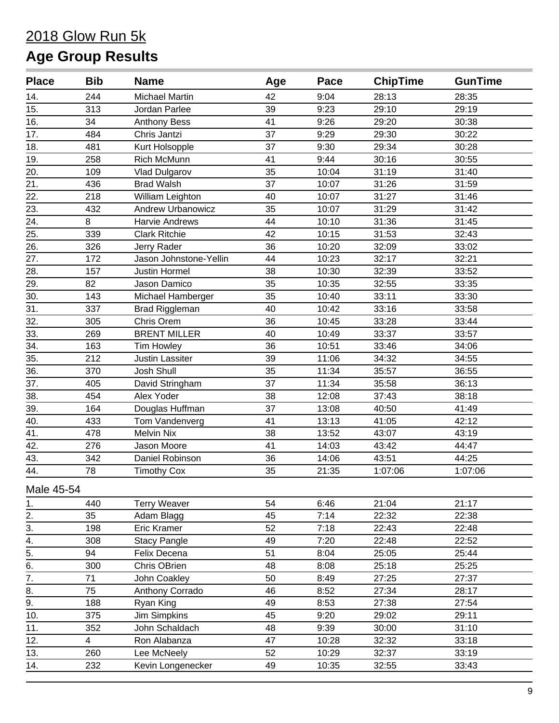| <b>Place</b>      | <b>Bib</b> | <b>Name</b>              | Age | Pace  | <b>ChipTime</b> | <b>GunTime</b> |
|-------------------|------------|--------------------------|-----|-------|-----------------|----------------|
| 14.               | 244        | <b>Michael Martin</b>    | 42  | 9:04  | 28:13           | 28:35          |
| 15.               | 313        | Jordan Parlee            | 39  | 9:23  | 29:10           | 29:19          |
| 16.               | 34         | <b>Anthony Bess</b>      | 41  | 9:26  | 29:20           | 30:38          |
| 17.               | 484        | Chris Jantzi             | 37  | 9:29  | 29:30           | 30:22          |
| 18.               | 481        | Kurt Holsopple           | 37  | 9:30  | 29:34           | 30:28          |
| 19.               | 258        | Rich McMunn              | 41  | 9:44  | 30:16           | 30:55          |
| 20.               | 109        | Vlad Dulgarov            | 35  | 10:04 | 31:19           | 31:40          |
| 21.               | 436        | <b>Brad Walsh</b>        | 37  | 10:07 | 31:26           | 31:59          |
| 22.               | 218        | William Leighton         | 40  | 10:07 | 31:27           | 31:46          |
| 23.               | 432        | <b>Andrew Urbanowicz</b> | 35  | 10:07 | 31:29           | 31:42          |
| 24.               | 8          | Harvie Andrews           | 44  | 10:10 | 31:36           | 31:45          |
| 25.               | 339        | <b>Clark Ritchie</b>     | 42  | 10:15 | 31:53           | 32:43          |
| 26.               | 326        | Jerry Rader              | 36  | 10:20 | 32:09           | 33:02          |
| 27.               | 172        | Jason Johnstone-Yellin   | 44  | 10:23 | 32:17           | 32:21          |
| $\overline{28}$ . | 157        | <b>Justin Hormel</b>     | 38  | 10:30 | 32:39           | 33:52          |
| 29.               | 82         | Jason Damico             | 35  | 10:35 | 32:55           | 33:35          |
| 30.               | 143        | Michael Hamberger        | 35  | 10:40 | 33:11           | 33:30          |
| 31.               | 337        | Brad Riggleman           | 40  | 10:42 | 33:16           | 33:58          |
| 32.               | 305        | Chris Orem               | 36  | 10:45 | 33:28           | 33:44          |
| 33.               | 269        | <b>BRENT MILLER</b>      | 40  | 10:49 | 33:37           | 33:57          |
| 34.               | 163        | Tim Howley               | 36  | 10:51 | 33:46           | 34:06          |
| 35.               | 212        | Justin Lassiter          | 39  | 11:06 | 34:32           | 34:55          |
| 36.               | 370        | Josh Shull               | 35  | 11:34 | 35:57           | 36:55          |
| 37.               | 405        | David Stringham          | 37  | 11:34 | 35:58           | 36:13          |
| 38.               | 454        | Alex Yoder               | 38  | 12:08 | 37:43           | 38:18          |
| 39.               | 164        | Douglas Huffman          | 37  | 13:08 | 40:50           | 41:49          |
| 40.               | 433        | Tom Vandenverg           | 41  | 13:13 | 41:05           | 42:12          |
| 41.               | 478        | <b>Melvin Nix</b>        | 38  | 13:52 | 43:07           | 43:19          |
| 42.               | 276        | Jason Moore              | 41  | 14:03 | 43:42           | 44:47          |
| 43.               | 342        | Daniel Robinson          | 36  | 14:06 | 43:51           | 44:25          |
| 44.               | 78         | <b>Timothy Cox</b>       | 35  | 21:35 | 1:07:06         | 1:07:06        |
| Male 45-54        |            |                          |     |       |                 |                |
| 1.                | 440        | <b>Terry Weaver</b>      | 54  | 6:46  | 21:04           | 21:17          |
|                   | 35         | Adam Blagg               | 45  | 7:14  | 22:32           | 22:38          |
| $\frac{2}{3}$ .   | 198        | Eric Kramer              | 52  | 7:18  | 22:43           | 22:48          |
| $\frac{4}{5}$ .   | 308        | <b>Stacy Pangle</b>      | 49  | 7:20  | 22:48           | 22:52          |
|                   | 94         | Felix Decena             | 51  | 8:04  | 25:05           | 25:44          |
| $\overline{6}$ .  | 300        | Chris OBrien             | 48  | 8:08  | 25:18           | 25:25          |
| $\overline{7}$ .  | 71         | John Coakley             | 50  | 8:49  | 27:25           | 27:37          |
| 8.                | 75         | Anthony Corrado          | 46  | 8:52  | 27:34           | 28:17          |
| 9.                | 188        | Ryan King                | 49  | 8:53  | 27:38           | 27:54          |
| 10.               | 375        | Jim Simpkins             | 45  | 9:20  | 29:02           | 29:11          |
| 11.               | 352        | John Schaldach           | 48  | 9:39  | 30:00           | 31:10          |
| 12.               | 4          | Ron Alabanza             | 47  | 10:28 | 32:32           | 33:18          |
| 13.               | 260        | Lee McNeely              | 52  | 10:29 | 32:37           | 33:19          |
| 14.               | 232        | Kevin Longenecker        | 49  | 10:35 | 32:55           | 33:43          |
|                   |            |                          |     |       |                 |                |